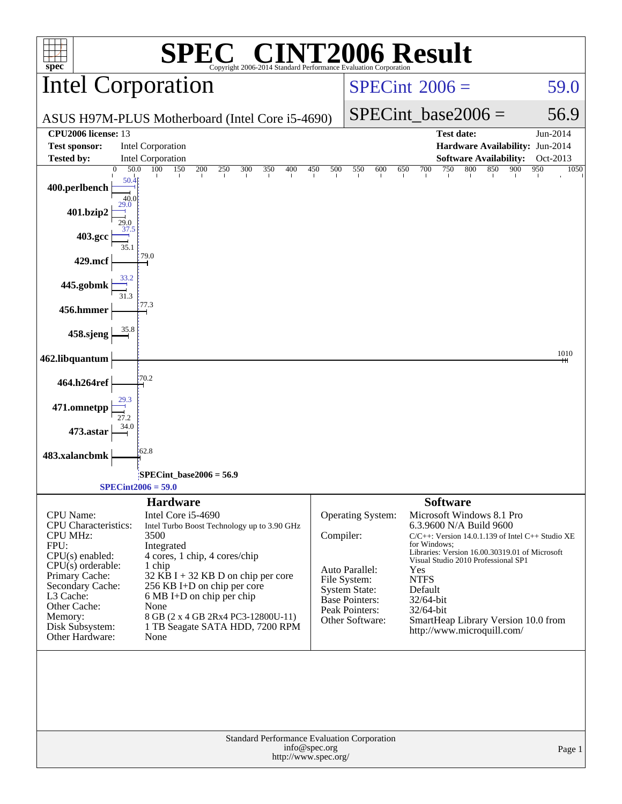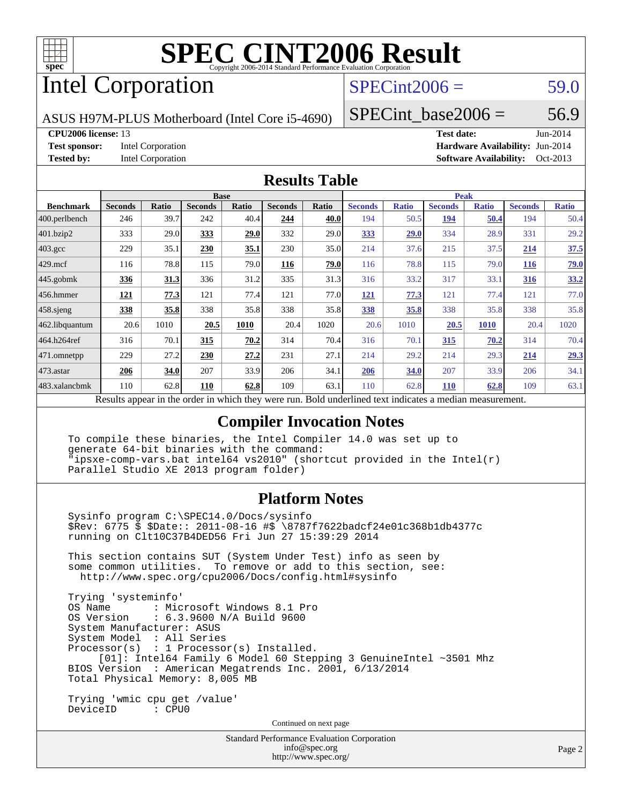

# Intel Corporation

### $SPECint2006 = 59.0$  $SPECint2006 = 59.0$

ASUS H97M-PLUS Motherboard (Intel Core i5-4690)

SPECint base2006 =  $56.9$ 

**[CPU2006 license:](http://www.spec.org/auto/cpu2006/Docs/result-fields.html#CPU2006license)** 13 **[Test date:](http://www.spec.org/auto/cpu2006/Docs/result-fields.html#Testdate)** Jun-2014 **[Test sponsor:](http://www.spec.org/auto/cpu2006/Docs/result-fields.html#Testsponsor)** Intel Corporation **[Hardware Availability:](http://www.spec.org/auto/cpu2006/Docs/result-fields.html#HardwareAvailability)** Jun-2014 **[Tested by:](http://www.spec.org/auto/cpu2006/Docs/result-fields.html#Testedby)** Intel Corporation **[Software Availability:](http://www.spec.org/auto/cpu2006/Docs/result-fields.html#SoftwareAvailability)** Oct-2013

### **[Results Table](http://www.spec.org/auto/cpu2006/Docs/result-fields.html#ResultsTable)**

|                   | <b>Base</b>                                      |              |                |       | <b>Peak</b>    |              |                                                     |              |                |              |                |              |
|-------------------|--------------------------------------------------|--------------|----------------|-------|----------------|--------------|-----------------------------------------------------|--------------|----------------|--------------|----------------|--------------|
| <b>Benchmark</b>  | <b>Seconds</b>                                   | <b>Ratio</b> | <b>Seconds</b> | Ratio | <b>Seconds</b> | <b>Ratio</b> | <b>Seconds</b>                                      | <b>Ratio</b> | <b>Seconds</b> | <b>Ratio</b> | <b>Seconds</b> | <b>Ratio</b> |
| $ 400$ .perlbench | 246                                              | 39.7         | 242            | 40.4  | 244            | 40.0         | 194                                                 | 50.5         | 194            | 50.4         | 194            | 50.4         |
| 401.bzip2         | 333                                              | 29.0         | 333            | 29.0  | 332            | 29.0         | 333                                                 | 29.0         | 334            | 28.9         | 331            | 29.2         |
| $403.\text{gcc}$  | 229                                              | 35.1         | 230            | 35.1  | 230            | 35.0         | 214                                                 | 37.6         | 215            | 37.5         | 214            | 37.5         |
| $429$ .mcf        | 116                                              | 78.8         | 115            | 79.0  | 116            | 79.0         | 116                                                 | 78.8         | 115            | 79.0         | <b>116</b>     | 79.0         |
| $445$ .gobmk      | <u>336</u>                                       | <u>31.3</u>  | 336            | 31.2  | 335            | 31.3         | 316                                                 | 33.2         | 317            | 33.1         | <u>316</u>     | 33.2         |
| 456.hmmer         | 121                                              | 77.3         | 121            | 77.4  | 121            | 77.0         | 121                                                 | 77.3         | 121            | 77.4         | 121            | 77.0         |
| $458$ sjeng       | 338                                              | 35.8         | 338            | 35.8  | 338            | 35.8         | 338                                                 | 35.8         | 338            | 35.8         | 338            | 35.8         |
| 462.libquantum    | 20.6                                             | 1010         | 20.5           | 1010  | 20.4           | 1020         | 20.6                                                | 1010         | 20.5           | <b>1010</b>  | 20.4           | 1020         |
| 464.h264ref       | 316                                              | 70.1         | 315            | 70.2  | 314            | 70.4         | 316                                                 | 70.1         | <u>315</u>     | 70.2         | 314            | 70.4         |
| $ 471$ .omnetpp   | 229                                              | 27.2         | 230            | 27.2  | 231            | 27.1         | 214                                                 | 29.2         | 214            | 29.3         | <u>214</u>     | 29.3         |
| $ 473$ . astar    | 206                                              | 34.0         | 207            | 33.9  | 206            | 34.1         | 206                                                 | 34.0         | 207            | 33.9         | 206            | 34.1         |
| 483.xalancbmk     | 110                                              | 62.8         | 110            | 62.8  | 109            | 63.1         | 110                                                 | 62.8         | <b>110</b>     | 62.8         | 109            | 63.1         |
|                   | Decute cancer in the order in which they were my |              |                |       |                |              | Dold underlined text indicates a madien measurement |              |                |              |                |              |

Results appear in the [order in which they were run.](http://www.spec.org/auto/cpu2006/Docs/result-fields.html#RunOrder) Bold underlined text [indicates a median measurement.](http://www.spec.org/auto/cpu2006/Docs/result-fields.html#Median)

### **[Compiler Invocation Notes](http://www.spec.org/auto/cpu2006/Docs/result-fields.html#CompilerInvocationNotes)**

 To compile these binaries, the Intel Compiler 14.0 was set up to generate 64-bit binaries with the command: "ipsxe-comp-vars.bat intel64 vs2010" (shortcut provided in the Intel(r) Parallel Studio XE 2013 program folder)

### **[Platform Notes](http://www.spec.org/auto/cpu2006/Docs/result-fields.html#PlatformNotes)**

 Sysinfo program C:\SPEC14.0/Docs/sysinfo \$Rev: 6775 \$ \$Date:: 2011-08-16 #\$ \8787f7622badcf24e01c368b1db4377c running on Clt10C37B4DED56 Fri Jun 27 15:39:29 2014 This section contains SUT (System Under Test) info as seen by

 some common utilities. To remove or add to this section, see: <http://www.spec.org/cpu2006/Docs/config.html#sysinfo>

 Trying 'systeminfo' : Microsoft Windows 8.1 Pro OS Version : 6.3.9600 N/A Build 9600 System Manufacturer: ASUS System Model : All Series Processor(s) : 1 Processor(s) Installed. [01]: Intel64 Family 6 Model 60 Stepping 3 GenuineIntel ~3501 Mhz BIOS Version : American Megatrends Inc. 2001, 6/13/2014 Total Physical Memory: 8,005 MB Trying 'wmic cpu get /value'

DeviceID : CPU0

Continued on next page

Standard Performance Evaluation Corporation [info@spec.org](mailto:info@spec.org) <http://www.spec.org/>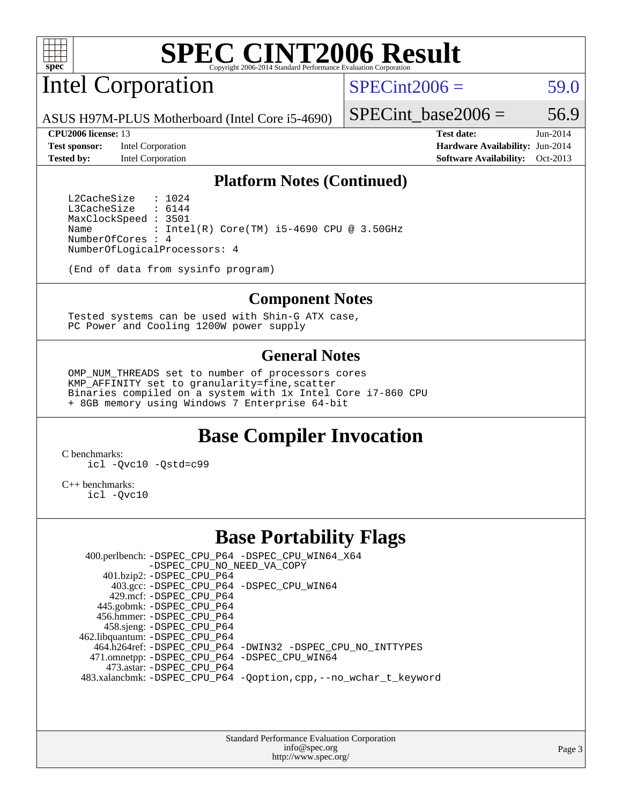

# Intel Corporation

 $SPECint2006 = 59.0$  $SPECint2006 = 59.0$ 

ASUS H97M-PLUS Motherboard (Intel Core i5-4690)

**[Test sponsor:](http://www.spec.org/auto/cpu2006/Docs/result-fields.html#Testsponsor)** Intel Corporation **[Hardware Availability:](http://www.spec.org/auto/cpu2006/Docs/result-fields.html#HardwareAvailability)** Jun-2014

SPECint base2006 =  $56.9$ **[CPU2006 license:](http://www.spec.org/auto/cpu2006/Docs/result-fields.html#CPU2006license)** 13 **[Test date:](http://www.spec.org/auto/cpu2006/Docs/result-fields.html#Testdate)** Jun-2014

**[Tested by:](http://www.spec.org/auto/cpu2006/Docs/result-fields.html#Testedby)** Intel Corporation **[Software Availability:](http://www.spec.org/auto/cpu2006/Docs/result-fields.html#SoftwareAvailability)** Oct-2013

### **[Platform Notes \(Continued\)](http://www.spec.org/auto/cpu2006/Docs/result-fields.html#PlatformNotes)**

L2CacheSize : 1024<br>L3CacheSize : 6144 L3CacheSize MaxClockSpeed : 3501 Name : Intel(R) Core(TM)  $i5-4690$  CPU @ 3.50GHz NumberOfCores : 4 NumberOfLogicalProcessors: 4

(End of data from sysinfo program)

### **[Component Notes](http://www.spec.org/auto/cpu2006/Docs/result-fields.html#ComponentNotes)**

 Tested systems can be used with Shin-G ATX case, PC Power and Cooling 1200W power supply

### **[General Notes](http://www.spec.org/auto/cpu2006/Docs/result-fields.html#GeneralNotes)**

 OMP\_NUM\_THREADS set to number of processors cores KMP\_AFFINITY set to granularity=fine,scatter Binaries compiled on a system with 1x Intel Core i7-860 CPU + 8GB memory using Windows 7 Enterprise 64-bit

## **[Base Compiler Invocation](http://www.spec.org/auto/cpu2006/Docs/result-fields.html#BaseCompilerInvocation)**

[C benchmarks](http://www.spec.org/auto/cpu2006/Docs/result-fields.html#Cbenchmarks): [icl -Qvc10](http://www.spec.org/cpu2006/results/res2014q3/cpu2006-20140715-30479.flags.html#user_CCbase_intel_icc_vc10_9607f3ecbcdf68042245f068e51b40c1) [-Qstd=c99](http://www.spec.org/cpu2006/results/res2014q3/cpu2006-20140715-30479.flags.html#user_CCbase_intel_compiler_c99_mode_1a3d110e3041b3ad4466830521bdad2a)

[C++ benchmarks:](http://www.spec.org/auto/cpu2006/Docs/result-fields.html#CXXbenchmarks) [icl -Qvc10](http://www.spec.org/cpu2006/results/res2014q3/cpu2006-20140715-30479.flags.html#user_CXXbase_intel_icc_vc10_9607f3ecbcdf68042245f068e51b40c1)

### **[Base Portability Flags](http://www.spec.org/auto/cpu2006/Docs/result-fields.html#BasePortabilityFlags)**

 400.perlbench: [-DSPEC\\_CPU\\_P64](http://www.spec.org/cpu2006/results/res2014q3/cpu2006-20140715-30479.flags.html#b400.perlbench_basePORTABILITY_DSPEC_CPU_P64) [-DSPEC\\_CPU\\_WIN64\\_X64](http://www.spec.org/cpu2006/results/res2014q3/cpu2006-20140715-30479.flags.html#b400.perlbench_baseCPORTABILITY_DSPEC_CPU_WIN64_X64) [-DSPEC\\_CPU\\_NO\\_NEED\\_VA\\_COPY](http://www.spec.org/cpu2006/results/res2014q3/cpu2006-20140715-30479.flags.html#b400.perlbench_baseCPORTABILITY_DSPEC_CPU_NO_NEED_VA_COPY) 401.bzip2: [-DSPEC\\_CPU\\_P64](http://www.spec.org/cpu2006/results/res2014q3/cpu2006-20140715-30479.flags.html#suite_basePORTABILITY401_bzip2_DSPEC_CPU_P64) 403.gcc: [-DSPEC\\_CPU\\_P64](http://www.spec.org/cpu2006/results/res2014q3/cpu2006-20140715-30479.flags.html#suite_basePORTABILITY403_gcc_DSPEC_CPU_P64) [-DSPEC\\_CPU\\_WIN64](http://www.spec.org/cpu2006/results/res2014q3/cpu2006-20140715-30479.flags.html#b403.gcc_baseCPORTABILITY_DSPEC_CPU_WIN64) 429.mcf: [-DSPEC\\_CPU\\_P64](http://www.spec.org/cpu2006/results/res2014q3/cpu2006-20140715-30479.flags.html#suite_basePORTABILITY429_mcf_DSPEC_CPU_P64) 445.gobmk: [-DSPEC\\_CPU\\_P64](http://www.spec.org/cpu2006/results/res2014q3/cpu2006-20140715-30479.flags.html#suite_basePORTABILITY445_gobmk_DSPEC_CPU_P64) 456.hmmer: [-DSPEC\\_CPU\\_P64](http://www.spec.org/cpu2006/results/res2014q3/cpu2006-20140715-30479.flags.html#suite_basePORTABILITY456_hmmer_DSPEC_CPU_P64) 458.sjeng: [-DSPEC\\_CPU\\_P64](http://www.spec.org/cpu2006/results/res2014q3/cpu2006-20140715-30479.flags.html#suite_basePORTABILITY458_sjeng_DSPEC_CPU_P64) 462.libquantum: [-DSPEC\\_CPU\\_P64](http://www.spec.org/cpu2006/results/res2014q3/cpu2006-20140715-30479.flags.html#suite_basePORTABILITY462_libquantum_DSPEC_CPU_P64) 464.h264ref: [-DSPEC\\_CPU\\_P64](http://www.spec.org/cpu2006/results/res2014q3/cpu2006-20140715-30479.flags.html#suite_basePORTABILITY464_h264ref_DSPEC_CPU_P64) [-DWIN32](http://www.spec.org/cpu2006/results/res2014q3/cpu2006-20140715-30479.flags.html#b464.h264ref_baseCPORTABILITY_DWIN32) [-DSPEC\\_CPU\\_NO\\_INTTYPES](http://www.spec.org/cpu2006/results/res2014q3/cpu2006-20140715-30479.flags.html#b464.h264ref_baseCPORTABILITY_DSPEC_CPU_NO_INTTYPES) 471.omnetpp: [-DSPEC\\_CPU\\_P64](http://www.spec.org/cpu2006/results/res2014q3/cpu2006-20140715-30479.flags.html#suite_basePORTABILITY471_omnetpp_DSPEC_CPU_P64) [-DSPEC\\_CPU\\_WIN64](http://www.spec.org/cpu2006/results/res2014q3/cpu2006-20140715-30479.flags.html#b471.omnetpp_baseCXXPORTABILITY_DSPEC_CPU_WIN64) 473.astar: [-DSPEC\\_CPU\\_P64](http://www.spec.org/cpu2006/results/res2014q3/cpu2006-20140715-30479.flags.html#suite_basePORTABILITY473_astar_DSPEC_CPU_P64) 483.xalancbmk: [-DSPEC\\_CPU\\_P64](http://www.spec.org/cpu2006/results/res2014q3/cpu2006-20140715-30479.flags.html#suite_basePORTABILITY483_xalancbmk_DSPEC_CPU_P64) [-Qoption,cpp,--no\\_wchar\\_t\\_keyword](http://www.spec.org/cpu2006/results/res2014q3/cpu2006-20140715-30479.flags.html#user_baseCXXPORTABILITY483_xalancbmk_f-no_wchar_t_keyword_ec0ad4495a16b4e858bfcb29d949d25d)

> Standard Performance Evaluation Corporation [info@spec.org](mailto:info@spec.org) <http://www.spec.org/>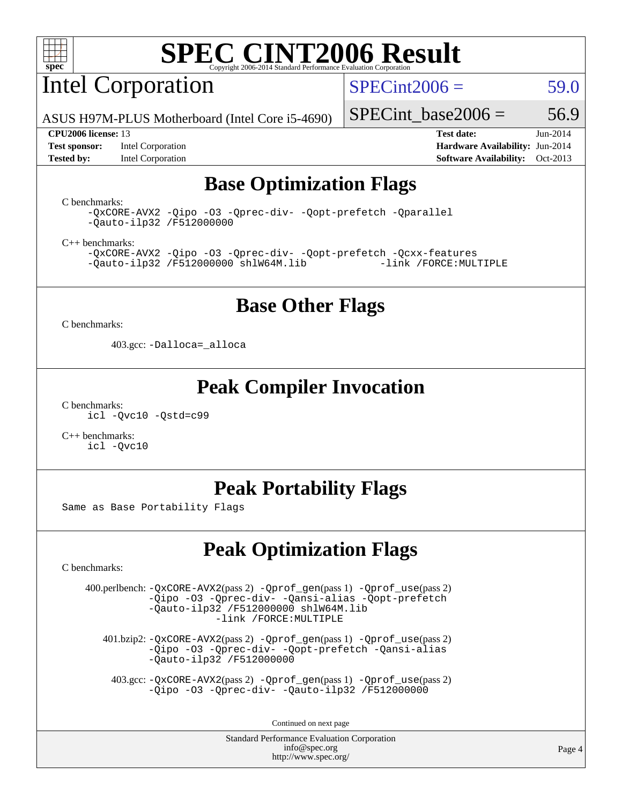

Intel Corporation

 $SPECint2006 = 59.0$  $SPECint2006 = 59.0$ 

ASUS H97M-PLUS Motherboard (Intel Core i5-4690)

**[Test sponsor:](http://www.spec.org/auto/cpu2006/Docs/result-fields.html#Testsponsor)** Intel Corporation **[Hardware Availability:](http://www.spec.org/auto/cpu2006/Docs/result-fields.html#HardwareAvailability)** Jun-2014 **[Tested by:](http://www.spec.org/auto/cpu2006/Docs/result-fields.html#Testedby)** Intel Corporation **[Software Availability:](http://www.spec.org/auto/cpu2006/Docs/result-fields.html#SoftwareAvailability)** Oct-2013

SPECint base2006 =  $56.9$ 

**[CPU2006 license:](http://www.spec.org/auto/cpu2006/Docs/result-fields.html#CPU2006license)** 13 **[Test date:](http://www.spec.org/auto/cpu2006/Docs/result-fields.html#Testdate)** Jun-2014

### **[Base Optimization Flags](http://www.spec.org/auto/cpu2006/Docs/result-fields.html#BaseOptimizationFlags)**

[C benchmarks](http://www.spec.org/auto/cpu2006/Docs/result-fields.html#Cbenchmarks):

[-QxCORE-AVX2](http://www.spec.org/cpu2006/results/res2014q3/cpu2006-20140715-30479.flags.html#user_CCbase_f-QxAVX2_f98716b5f9e905f99c943c56f21bf430) [-Qipo](http://www.spec.org/cpu2006/results/res2014q3/cpu2006-20140715-30479.flags.html#user_CCbase_f-Qipo) [-O3](http://www.spec.org/cpu2006/results/res2014q3/cpu2006-20140715-30479.flags.html#user_CCbase_f-O3) [-Qprec-div-](http://www.spec.org/cpu2006/results/res2014q3/cpu2006-20140715-30479.flags.html#user_CCbase_f-Qprec-div-) [-Qopt-prefetch](http://www.spec.org/cpu2006/results/res2014q3/cpu2006-20140715-30479.flags.html#user_CCbase_f-Qprefetch_37c211608666b9dff9380561f602f0a8) [-Qparallel](http://www.spec.org/cpu2006/results/res2014q3/cpu2006-20140715-30479.flags.html#user_CCbase_f-Qparallel) [-Qauto-ilp32](http://www.spec.org/cpu2006/results/res2014q3/cpu2006-20140715-30479.flags.html#user_CCbase_f-Qauto-ilp32) [/F512000000](http://www.spec.org/cpu2006/results/res2014q3/cpu2006-20140715-30479.flags.html#user_CCbase_set_stack_space_98438a10eb60aa5f35f4c79d9b9b27b1)

[C++ benchmarks:](http://www.spec.org/auto/cpu2006/Docs/result-fields.html#CXXbenchmarks)

[-QxCORE-AVX2](http://www.spec.org/cpu2006/results/res2014q3/cpu2006-20140715-30479.flags.html#user_CXXbase_f-QxAVX2_f98716b5f9e905f99c943c56f21bf430) [-Qipo](http://www.spec.org/cpu2006/results/res2014q3/cpu2006-20140715-30479.flags.html#user_CXXbase_f-Qipo) [-O3](http://www.spec.org/cpu2006/results/res2014q3/cpu2006-20140715-30479.flags.html#user_CXXbase_f-O3) [-Qprec-div-](http://www.spec.org/cpu2006/results/res2014q3/cpu2006-20140715-30479.flags.html#user_CXXbase_f-Qprec-div-) [-Qopt-prefetch](http://www.spec.org/cpu2006/results/res2014q3/cpu2006-20140715-30479.flags.html#user_CXXbase_f-Qprefetch_37c211608666b9dff9380561f602f0a8) [-Qcxx-features](http://www.spec.org/cpu2006/results/res2014q3/cpu2006-20140715-30479.flags.html#user_CXXbase_f-Qcxx_features_dbf36c8a6dba956e22f1645e4dcd4d98)  $-Qauto-ilp32 /F512000000$  $-Qauto-ilp32 /F512000000$  $-Qauto-ilp32 /F512000000$  [shlW64M.lib](http://www.spec.org/cpu2006/results/res2014q3/cpu2006-20140715-30479.flags.html#user_CXXbase_SmartHeap64_c4f7f76711bdf8c0633a5c1edf6e5396)

### **[Base Other Flags](http://www.spec.org/auto/cpu2006/Docs/result-fields.html#BaseOtherFlags)**

[C benchmarks](http://www.spec.org/auto/cpu2006/Docs/result-fields.html#Cbenchmarks):

403.gcc: [-Dalloca=\\_alloca](http://www.spec.org/cpu2006/results/res2014q3/cpu2006-20140715-30479.flags.html#b403.gcc_baseEXTRA_CFLAGS_Dalloca_be3056838c12de2578596ca5467af7f3)

### **[Peak Compiler Invocation](http://www.spec.org/auto/cpu2006/Docs/result-fields.html#PeakCompilerInvocation)**

[C benchmarks](http://www.spec.org/auto/cpu2006/Docs/result-fields.html#Cbenchmarks): [icl -Qvc10](http://www.spec.org/cpu2006/results/res2014q3/cpu2006-20140715-30479.flags.html#user_CCpeak_intel_icc_vc10_9607f3ecbcdf68042245f068e51b40c1) [-Qstd=c99](http://www.spec.org/cpu2006/results/res2014q3/cpu2006-20140715-30479.flags.html#user_CCpeak_intel_compiler_c99_mode_1a3d110e3041b3ad4466830521bdad2a)

[C++ benchmarks:](http://www.spec.org/auto/cpu2006/Docs/result-fields.html#CXXbenchmarks) [icl -Qvc10](http://www.spec.org/cpu2006/results/res2014q3/cpu2006-20140715-30479.flags.html#user_CXXpeak_intel_icc_vc10_9607f3ecbcdf68042245f068e51b40c1)

## **[Peak Portability Flags](http://www.spec.org/auto/cpu2006/Docs/result-fields.html#PeakPortabilityFlags)**

Same as Base Portability Flags

## **[Peak Optimization Flags](http://www.spec.org/auto/cpu2006/Docs/result-fields.html#PeakOptimizationFlags)**

[C benchmarks](http://www.spec.org/auto/cpu2006/Docs/result-fields.html#Cbenchmarks):

 400.perlbench: [-QxCORE-AVX2](http://www.spec.org/cpu2006/results/res2014q3/cpu2006-20140715-30479.flags.html#user_peakPASS2_CFLAGSPASS2_LDFLAGS400_perlbench_f-QxAVX2_f98716b5f9e905f99c943c56f21bf430)(pass 2) [-Qprof\\_gen](http://www.spec.org/cpu2006/results/res2014q3/cpu2006-20140715-30479.flags.html#user_peakPASS1_CFLAGSPASS1_LDFLAGS400_perlbench_Qprof_gen)(pass 1) [-Qprof\\_use](http://www.spec.org/cpu2006/results/res2014q3/cpu2006-20140715-30479.flags.html#user_peakPASS2_CFLAGSPASS2_LDFLAGS400_perlbench_Qprof_use)(pass 2) [-Qipo](http://www.spec.org/cpu2006/results/res2014q3/cpu2006-20140715-30479.flags.html#user_peakOPTIMIZE400_perlbench_f-Qipo) [-O3](http://www.spec.org/cpu2006/results/res2014q3/cpu2006-20140715-30479.flags.html#user_peakOPTIMIZE400_perlbench_f-O3) [-Qprec-div-](http://www.spec.org/cpu2006/results/res2014q3/cpu2006-20140715-30479.flags.html#user_peakOPTIMIZE400_perlbench_f-Qprec-div-) [-Qansi-alias](http://www.spec.org/cpu2006/results/res2014q3/cpu2006-20140715-30479.flags.html#user_peakOPTIMIZE400_perlbench_f-Qansi-alias) [-Qopt-prefetch](http://www.spec.org/cpu2006/results/res2014q3/cpu2006-20140715-30479.flags.html#user_peakOPTIMIZE400_perlbench_f-Qprefetch_37c211608666b9dff9380561f602f0a8) [-Qauto-ilp32](http://www.spec.org/cpu2006/results/res2014q3/cpu2006-20140715-30479.flags.html#user_peakCOPTIMIZE400_perlbench_f-Qauto-ilp32) [/F512000000](http://www.spec.org/cpu2006/results/res2014q3/cpu2006-20140715-30479.flags.html#user_peakEXTRA_LDFLAGS400_perlbench_set_stack_space_98438a10eb60aa5f35f4c79d9b9b27b1) [shlW64M.lib](http://www.spec.org/cpu2006/results/res2014q3/cpu2006-20140715-30479.flags.html#user_peakEXTRA_LIBS400_perlbench_SmartHeap64_c4f7f76711bdf8c0633a5c1edf6e5396)  [-link /FORCE:MULTIPLE](http://www.spec.org/cpu2006/results/res2014q3/cpu2006-20140715-30479.flags.html#user_peakLDOUT400_perlbench_link_force_multiple2_070fe330869edf77077b841074b8b0b6)

 401.bzip2: [-QxCORE-AVX2](http://www.spec.org/cpu2006/results/res2014q3/cpu2006-20140715-30479.flags.html#user_peakPASS2_CFLAGSPASS2_LDFLAGS401_bzip2_f-QxAVX2_f98716b5f9e905f99c943c56f21bf430)(pass 2) [-Qprof\\_gen](http://www.spec.org/cpu2006/results/res2014q3/cpu2006-20140715-30479.flags.html#user_peakPASS1_CFLAGSPASS1_LDFLAGS401_bzip2_Qprof_gen)(pass 1) [-Qprof\\_use](http://www.spec.org/cpu2006/results/res2014q3/cpu2006-20140715-30479.flags.html#user_peakPASS2_CFLAGSPASS2_LDFLAGS401_bzip2_Qprof_use)(pass 2) [-Qipo](http://www.spec.org/cpu2006/results/res2014q3/cpu2006-20140715-30479.flags.html#user_peakOPTIMIZE401_bzip2_f-Qipo) [-O3](http://www.spec.org/cpu2006/results/res2014q3/cpu2006-20140715-30479.flags.html#user_peakOPTIMIZE401_bzip2_f-O3) [-Qprec-div-](http://www.spec.org/cpu2006/results/res2014q3/cpu2006-20140715-30479.flags.html#user_peakOPTIMIZE401_bzip2_f-Qprec-div-) [-Qopt-prefetch](http://www.spec.org/cpu2006/results/res2014q3/cpu2006-20140715-30479.flags.html#user_peakOPTIMIZE401_bzip2_f-Qprefetch_37c211608666b9dff9380561f602f0a8) [-Qansi-alias](http://www.spec.org/cpu2006/results/res2014q3/cpu2006-20140715-30479.flags.html#user_peakOPTIMIZE401_bzip2_f-Qansi-alias) [-Qauto-ilp32](http://www.spec.org/cpu2006/results/res2014q3/cpu2006-20140715-30479.flags.html#user_peakCOPTIMIZE401_bzip2_f-Qauto-ilp32) [/F512000000](http://www.spec.org/cpu2006/results/res2014q3/cpu2006-20140715-30479.flags.html#user_peakEXTRA_LDFLAGS401_bzip2_set_stack_space_98438a10eb60aa5f35f4c79d9b9b27b1)

 403.gcc: [-QxCORE-AVX2](http://www.spec.org/cpu2006/results/res2014q3/cpu2006-20140715-30479.flags.html#user_peakPASS2_CFLAGSPASS2_LDFLAGS403_gcc_f-QxAVX2_f98716b5f9e905f99c943c56f21bf430)(pass 2) [-Qprof\\_gen](http://www.spec.org/cpu2006/results/res2014q3/cpu2006-20140715-30479.flags.html#user_peakPASS1_CFLAGSPASS1_LDFLAGS403_gcc_Qprof_gen)(pass 1) [-Qprof\\_use](http://www.spec.org/cpu2006/results/res2014q3/cpu2006-20140715-30479.flags.html#user_peakPASS2_CFLAGSPASS2_LDFLAGS403_gcc_Qprof_use)(pass 2) [-Qipo](http://www.spec.org/cpu2006/results/res2014q3/cpu2006-20140715-30479.flags.html#user_peakOPTIMIZE403_gcc_f-Qipo) [-O3](http://www.spec.org/cpu2006/results/res2014q3/cpu2006-20140715-30479.flags.html#user_peakOPTIMIZE403_gcc_f-O3) [-Qprec-div-](http://www.spec.org/cpu2006/results/res2014q3/cpu2006-20140715-30479.flags.html#user_peakOPTIMIZE403_gcc_f-Qprec-div-) [-Qauto-ilp32](http://www.spec.org/cpu2006/results/res2014q3/cpu2006-20140715-30479.flags.html#user_peakCOPTIMIZE403_gcc_f-Qauto-ilp32) [/F512000000](http://www.spec.org/cpu2006/results/res2014q3/cpu2006-20140715-30479.flags.html#user_peakEXTRA_LDFLAGS403_gcc_set_stack_space_98438a10eb60aa5f35f4c79d9b9b27b1)

Continued on next page

Standard Performance Evaluation Corporation [info@spec.org](mailto:info@spec.org) <http://www.spec.org/>

Page 4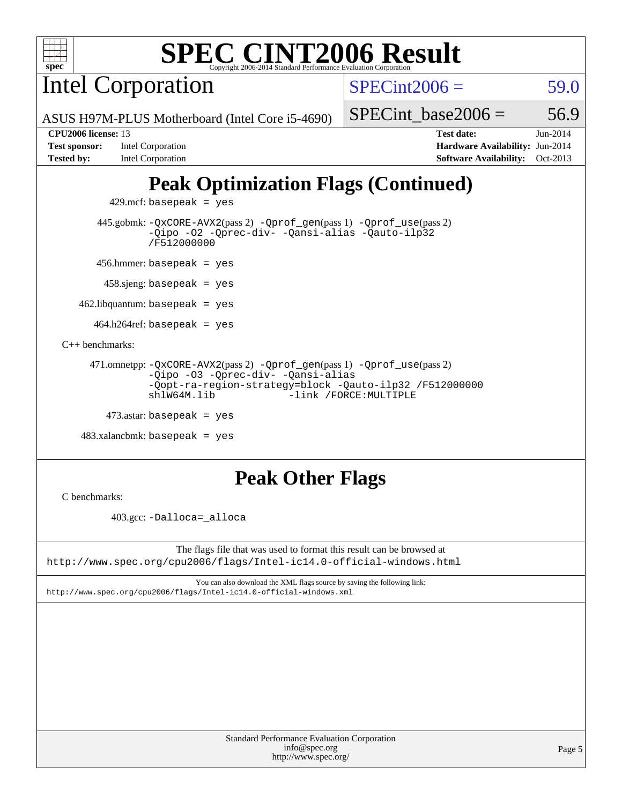

Intel Corporation

 $SPECint2006 = 59.0$  $SPECint2006 = 59.0$ 

ASUS H97M-PLUS Motherboard (Intel Core i5-4690)

### **[CPU2006 license:](http://www.spec.org/auto/cpu2006/Docs/result-fields.html#CPU2006license)** 13 **[Test date:](http://www.spec.org/auto/cpu2006/Docs/result-fields.html#Testdate)** Jun-2014

**[Test sponsor:](http://www.spec.org/auto/cpu2006/Docs/result-fields.html#Testsponsor)** Intel Corporation **[Hardware Availability:](http://www.spec.org/auto/cpu2006/Docs/result-fields.html#HardwareAvailability)** Jun-2014 **[Tested by:](http://www.spec.org/auto/cpu2006/Docs/result-fields.html#Testedby)** Intel Corporation **[Software Availability:](http://www.spec.org/auto/cpu2006/Docs/result-fields.html#SoftwareAvailability)** Oct-2013

SPECint base2006 =  $56.9$ 

## **[Peak Optimization Flags \(Continued\)](http://www.spec.org/auto/cpu2006/Docs/result-fields.html#PeakOptimizationFlags)**

 $429$ .mcf: basepeak = yes

 445.gobmk: [-QxCORE-AVX2](http://www.spec.org/cpu2006/results/res2014q3/cpu2006-20140715-30479.flags.html#user_peakPASS2_CFLAGSPASS2_LDFLAGS445_gobmk_f-QxAVX2_f98716b5f9e905f99c943c56f21bf430)(pass 2) [-Qprof\\_gen](http://www.spec.org/cpu2006/results/res2014q3/cpu2006-20140715-30479.flags.html#user_peakPASS1_CFLAGSPASS1_LDFLAGS445_gobmk_Qprof_gen)(pass 1) [-Qprof\\_use](http://www.spec.org/cpu2006/results/res2014q3/cpu2006-20140715-30479.flags.html#user_peakPASS2_CFLAGSPASS2_LDFLAGS445_gobmk_Qprof_use)(pass 2) [-Qipo](http://www.spec.org/cpu2006/results/res2014q3/cpu2006-20140715-30479.flags.html#user_peakOPTIMIZE445_gobmk_f-Qipo) [-O2](http://www.spec.org/cpu2006/results/res2014q3/cpu2006-20140715-30479.flags.html#user_peakOPTIMIZE445_gobmk_f-O2) [-Qprec-div-](http://www.spec.org/cpu2006/results/res2014q3/cpu2006-20140715-30479.flags.html#user_peakOPTIMIZE445_gobmk_f-Qprec-div-) [-Qansi-alias](http://www.spec.org/cpu2006/results/res2014q3/cpu2006-20140715-30479.flags.html#user_peakOPTIMIZE445_gobmk_f-Qansi-alias) [-Qauto-ilp32](http://www.spec.org/cpu2006/results/res2014q3/cpu2006-20140715-30479.flags.html#user_peakCOPTIMIZE445_gobmk_f-Qauto-ilp32) [/F512000000](http://www.spec.org/cpu2006/results/res2014q3/cpu2006-20140715-30479.flags.html#user_peakEXTRA_LDFLAGS445_gobmk_set_stack_space_98438a10eb60aa5f35f4c79d9b9b27b1)

456.hmmer: basepeak = yes

458.sjeng: basepeak = yes

 $462$ .libquantum: basepeak = yes

 $464.h264$ ref: basepeak = yes

[C++ benchmarks:](http://www.spec.org/auto/cpu2006/Docs/result-fields.html#CXXbenchmarks)

```
 471.omnetpp: -QxCORE-AVX2(pass 2) -Qprof_gen(pass 1) -Qprof_use(pass 2)
-Qipo -O3 -Qprec-div- -Qansi-alias
-Qopt-ra-region-strategy=block -Qauto-ilp32 /F512000000
shlW64M.lib -link /FORCE:MULTIPLE
```
 $473$ .astar: basepeak = yes

483.xalancbmk: basepeak = yes

## **[Peak Other Flags](http://www.spec.org/auto/cpu2006/Docs/result-fields.html#PeakOtherFlags)**

[C benchmarks](http://www.spec.org/auto/cpu2006/Docs/result-fields.html#Cbenchmarks):

403.gcc: [-Dalloca=\\_alloca](http://www.spec.org/cpu2006/results/res2014q3/cpu2006-20140715-30479.flags.html#b403.gcc_peakEXTRA_CFLAGS_Dalloca_be3056838c12de2578596ca5467af7f3)

The flags file that was used to format this result can be browsed at <http://www.spec.org/cpu2006/flags/Intel-ic14.0-official-windows.html>

You can also download the XML flags source by saving the following link: <http://www.spec.org/cpu2006/flags/Intel-ic14.0-official-windows.xml>